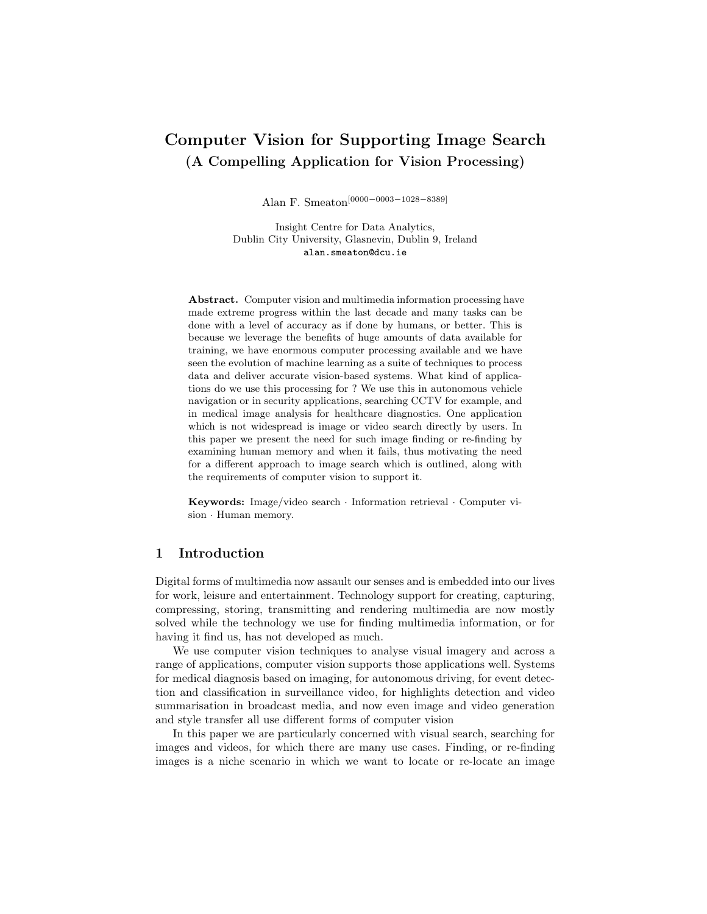# Computer Vision for Supporting Image Search (A Compelling Application for Vision Processing)

Alan F. Smeaton[0000−0003−1028−8389]

Insight Centre for Data Analytics, Dublin City University, Glasnevin, Dublin 9, Ireland alan.smeaton@dcu.ie

Abstract. Computer vision and multimedia information processing have made extreme progress within the last decade and many tasks can be done with a level of accuracy as if done by humans, or better. This is because we leverage the benefits of huge amounts of data available for training, we have enormous computer processing available and we have seen the evolution of machine learning as a suite of techniques to process data and deliver accurate vision-based systems. What kind of applications do we use this processing for ? We use this in autonomous vehicle navigation or in security applications, searching CCTV for example, and in medical image analysis for healthcare diagnostics. One application which is not widespread is image or video search directly by users. In this paper we present the need for such image finding or re-finding by examining human memory and when it fails, thus motivating the need for a different approach to image search which is outlined, along with the requirements of computer vision to support it.

Keywords: Image/video search · Information retrieval · Computer vision · Human memory.

# 1 Introduction

Digital forms of multimedia now assault our senses and is embedded into our lives for work, leisure and entertainment. Technology support for creating, capturing, compressing, storing, transmitting and rendering multimedia are now mostly solved while the technology we use for finding multimedia information, or for having it find us, has not developed as much.

We use computer vision techniques to analyse visual imagery and across a range of applications, computer vision supports those applications well. Systems for medical diagnosis based on imaging, for autonomous driving, for event detection and classification in surveillance video, for highlights detection and video summarisation in broadcast media, and now even image and video generation and style transfer all use different forms of computer vision

In this paper we are particularly concerned with visual search, searching for images and videos, for which there are many use cases. Finding, or re-finding images is a niche scenario in which we want to locate or re-locate an image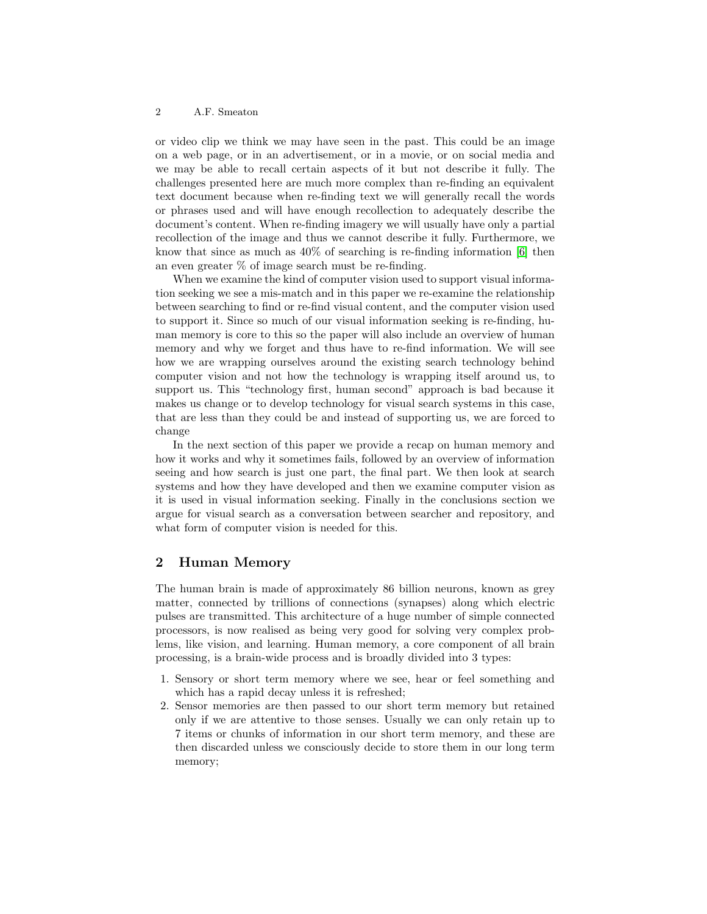or video clip we think we may have seen in the past. This could be an image on a web page, or in an advertisement, or in a movie, or on social media and we may be able to recall certain aspects of it but not describe it fully. The challenges presented here are much more complex than re-finding an equivalent text document because when re-finding text we will generally recall the words or phrases used and will have enough recollection to adequately describe the document's content. When re-finding imagery we will usually have only a partial recollection of the image and thus we cannot describe it fully. Furthermore, we know that since as much as 40% of searching is re-finding information [\[6\]](#page-9-0) then an even greater % of image search must be re-finding.

When we examine the kind of computer vision used to support visual information seeking we see a mis-match and in this paper we re-examine the relationship between searching to find or re-find visual content, and the computer vision used to support it. Since so much of our visual information seeking is re-finding, human memory is core to this so the paper will also include an overview of human memory and why we forget and thus have to re-find information. We will see how we are wrapping ourselves around the existing search technology behind computer vision and not how the technology is wrapping itself around us, to support us. This "technology first, human second" approach is bad because it makes us change or to develop technology for visual search systems in this case, that are less than they could be and instead of supporting us, we are forced to change

In the next section of this paper we provide a recap on human memory and how it works and why it sometimes fails, followed by an overview of information seeing and how search is just one part, the final part. We then look at search systems and how they have developed and then we examine computer vision as it is used in visual information seeking. Finally in the conclusions section we argue for visual search as a conversation between searcher and repository, and what form of computer vision is needed for this.

## 2 Human Memory

The human brain is made of approximately 86 billion neurons, known as grey matter, connected by trillions of connections (synapses) along which electric pulses are transmitted. This architecture of a huge number of simple connected processors, is now realised as being very good for solving very complex problems, like vision, and learning. Human memory, a core component of all brain processing, is a brain-wide process and is broadly divided into 3 types:

- 1. Sensory or short term memory where we see, hear or feel something and which has a rapid decay unless it is refreshed;
- 2. Sensor memories are then passed to our short term memory but retained only if we are attentive to those senses. Usually we can only retain up to 7 items or chunks of information in our short term memory, and these are then discarded unless we consciously decide to store them in our long term memory;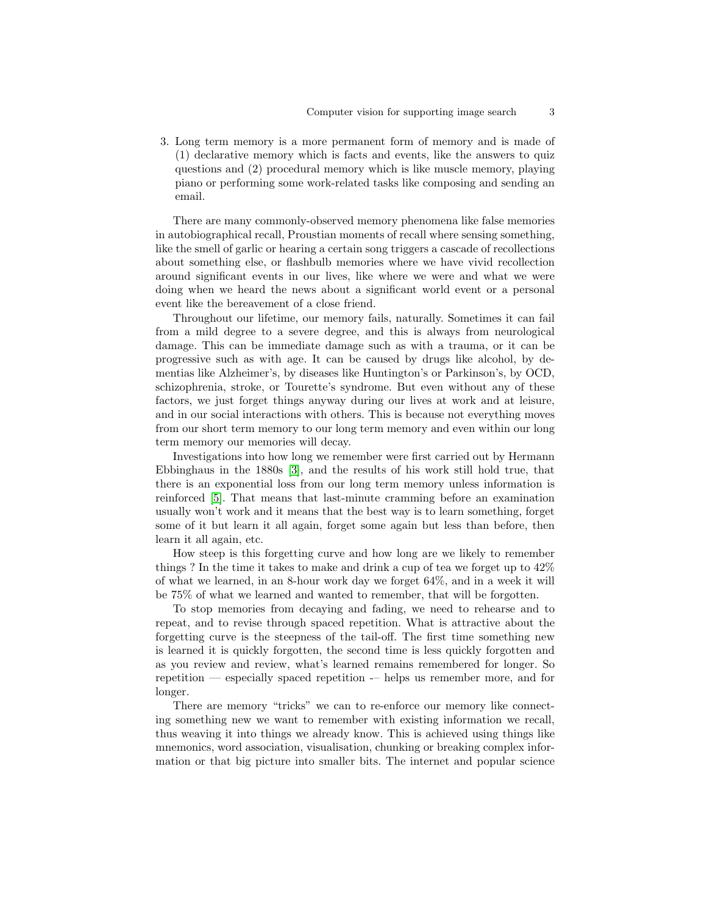3. Long term memory is a more permanent form of memory and is made of (1) declarative memory which is facts and events, like the answers to quiz questions and (2) procedural memory which is like muscle memory, playing piano or performing some work-related tasks like composing and sending an email.

There are many commonly-observed memory phenomena like false memories in autobiographical recall, Proustian moments of recall where sensing something, like the smell of garlic or hearing a certain song triggers a cascade of recollections about something else, or flashbulb memories where we have vivid recollection around significant events in our lives, like where we were and what we were doing when we heard the news about a significant world event or a personal event like the bereavement of a close friend.

Throughout our lifetime, our memory fails, naturally. Sometimes it can fail from a mild degree to a severe degree, and this is always from neurological damage. This can be immediate damage such as with a trauma, or it can be progressive such as with age. It can be caused by drugs like alcohol, by dementias like Alzheimer's, by diseases like Huntington's or Parkinson's, by OCD, schizophrenia, stroke, or Tourette's syndrome. But even without any of these factors, we just forget things anyway during our lives at work and at leisure, and in our social interactions with others. This is because not everything moves from our short term memory to our long term memory and even within our long term memory our memories will decay.

Investigations into how long we remember were first carried out by Hermann Ebbinghaus in the 1880s [\[3\]](#page-9-1), and the results of his work still hold true, that there is an exponential loss from our long term memory unless information is reinforced [\[5\]](#page-9-2). That means that last-minute cramming before an examination usually won't work and it means that the best way is to learn something, forget some of it but learn it all again, forget some again but less than before, then learn it all again, etc.

How steep is this forgetting curve and how long are we likely to remember things ? In the time it takes to make and drink a cup of tea we forget up to 42% of what we learned, in an 8-hour work day we forget 64%, and in a week it will be 75% of what we learned and wanted to remember, that will be forgotten.

To stop memories from decaying and fading, we need to rehearse and to repeat, and to revise through spaced repetition. What is attractive about the forgetting curve is the steepness of the tail-off. The first time something new is learned it is quickly forgotten, the second time is less quickly forgotten and as you review and review, what's learned remains remembered for longer. So repetition — especially spaced repetition -– helps us remember more, and for longer.

There are memory "tricks" we can to re-enforce our memory like connecting something new we want to remember with existing information we recall, thus weaving it into things we already know. This is achieved using things like mnemonics, word association, visualisation, chunking or breaking complex information or that big picture into smaller bits. The internet and popular science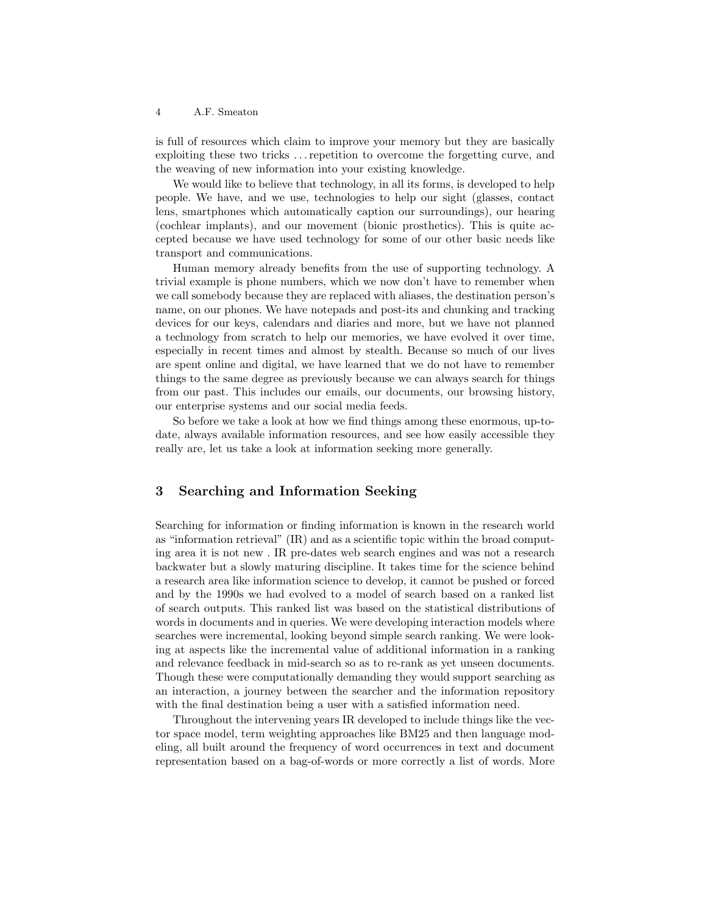is full of resources which claim to improve your memory but they are basically exploiting these two tricks . . . repetition to overcome the forgetting curve, and the weaving of new information into your existing knowledge.

We would like to believe that technology, in all its forms, is developed to help people. We have, and we use, technologies to help our sight (glasses, contact lens, smartphones which automatically caption our surroundings), our hearing (cochlear implants), and our movement (bionic prosthetics). This is quite accepted because we have used technology for some of our other basic needs like transport and communications.

Human memory already benefits from the use of supporting technology. A trivial example is phone numbers, which we now don't have to remember when we call somebody because they are replaced with aliases, the destination person's name, on our phones. We have notepads and post-its and chunking and tracking devices for our keys, calendars and diaries and more, but we have not planned a technology from scratch to help our memories, we have evolved it over time, especially in recent times and almost by stealth. Because so much of our lives are spent online and digital, we have learned that we do not have to remember things to the same degree as previously because we can always search for things from our past. This includes our emails, our documents, our browsing history, our enterprise systems and our social media feeds.

So before we take a look at how we find things among these enormous, up-todate, always available information resources, and see how easily accessible they really are, let us take a look at information seeking more generally.

# 3 Searching and Information Seeking

Searching for information or finding information is known in the research world as "information retrieval" (IR) and as a scientific topic within the broad computing area it is not new . IR pre-dates web search engines and was not a research backwater but a slowly maturing discipline. It takes time for the science behind a research area like information science to develop, it cannot be pushed or forced and by the 1990s we had evolved to a model of search based on a ranked list of search outputs. This ranked list was based on the statistical distributions of words in documents and in queries. We were developing interaction models where searches were incremental, looking beyond simple search ranking. We were looking at aspects like the incremental value of additional information in a ranking and relevance feedback in mid-search so as to re-rank as yet unseen documents. Though these were computationally demanding they would support searching as an interaction, a journey between the searcher and the information repository with the final destination being a user with a satisfied information need.

Throughout the intervening years IR developed to include things like the vector space model, term weighting approaches like BM25 and then language modeling, all built around the frequency of word occurrences in text and document representation based on a bag-of-words or more correctly a list of words. More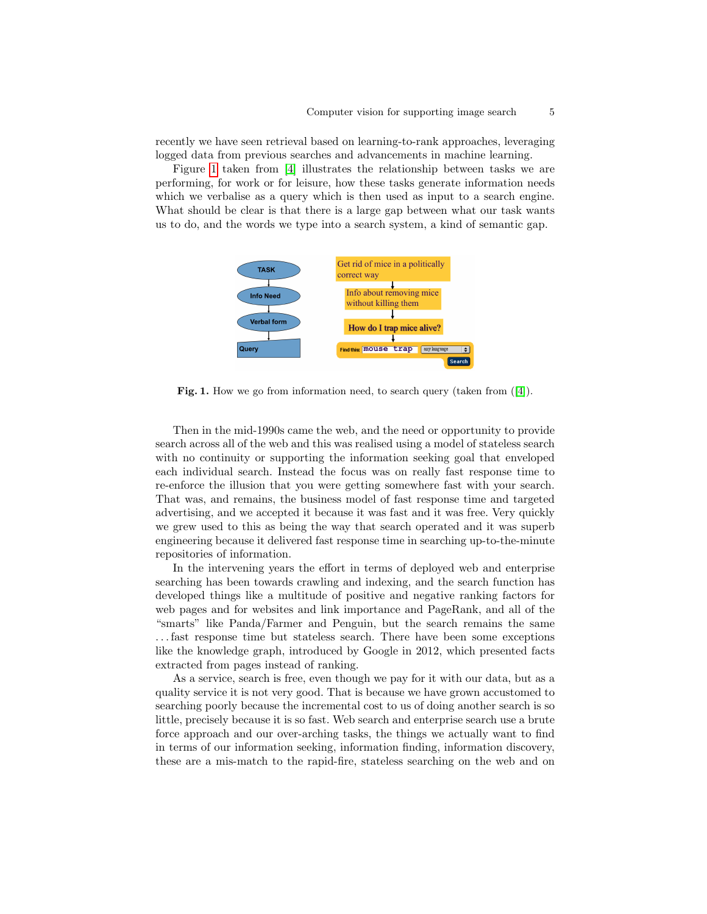recently we have seen retrieval based on learning-to-rank approaches, leveraging logged data from previous searches and advancements in machine learning.

Figure [1](#page-4-0) taken from [\[4\]](#page-9-3) illustrates the relationship between tasks we are performing, for work or for leisure, how these tasks generate information needs which we verbalise as a query which is then used as input to a search engine. What should be clear is that there is a large gap between what our task wants us to do, and the words we type into a search system, a kind of semantic gap.



<span id="page-4-0"></span>Fig. 1. How we go from information need, to search query (taken from ([\[4\]](#page-9-3)).

Then in the mid-1990s came the web, and the need or opportunity to provide search across all of the web and this was realised using a model of stateless search with no continuity or supporting the information seeking goal that enveloped each individual search. Instead the focus was on really fast response time to re-enforce the illusion that you were getting somewhere fast with your search. That was, and remains, the business model of fast response time and targeted advertising, and we accepted it because it was fast and it was free. Very quickly we grew used to this as being the way that search operated and it was superb engineering because it delivered fast response time in searching up-to-the-minute repositories of information.

In the intervening years the effort in terms of deployed web and enterprise searching has been towards crawling and indexing, and the search function has developed things like a multitude of positive and negative ranking factors for web pages and for websites and link importance and PageRank, and all of the "smarts" like Panda/Farmer and Penguin, but the search remains the same . . . fast response time but stateless search. There have been some exceptions like the knowledge graph, introduced by Google in 2012, which presented facts extracted from pages instead of ranking.

As a service, search is free, even though we pay for it with our data, but as a quality service it is not very good. That is because we have grown accustomed to searching poorly because the incremental cost to us of doing another search is so little, precisely because it is so fast. Web search and enterprise search use a brute force approach and our over-arching tasks, the things we actually want to find in terms of our information seeking, information finding, information discovery, these are a mis-match to the rapid-fire, stateless searching on the web and on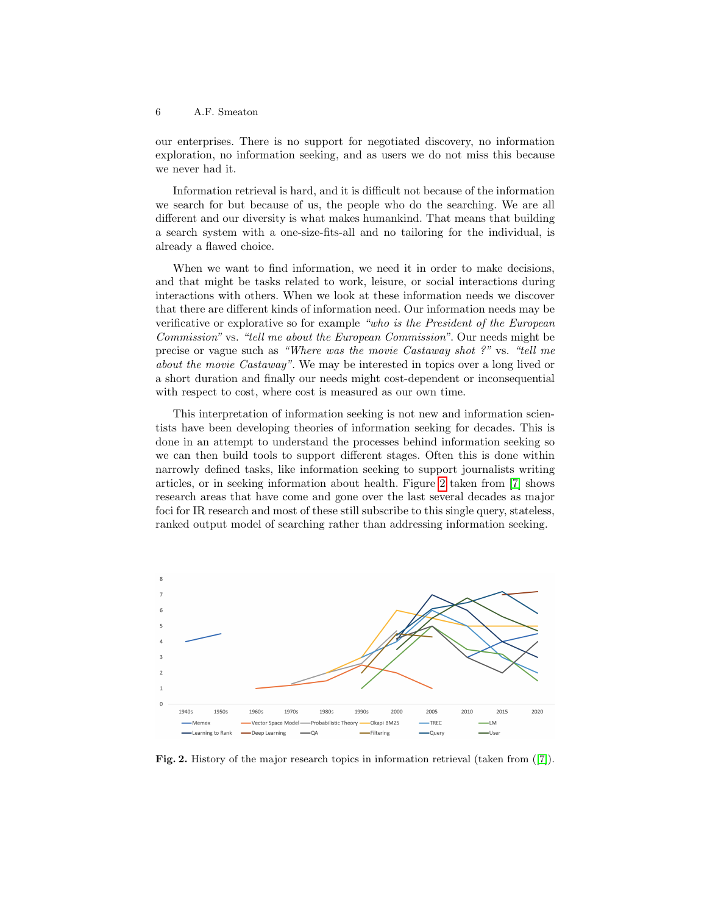our enterprises. There is no support for negotiated discovery, no information exploration, no information seeking, and as users we do not miss this because we never had it.

Information retrieval is hard, and it is difficult not because of the information we search for but because of us, the people who do the searching. We are all different and our diversity is what makes humankind. That means that building a search system with a one-size-fits-all and no tailoring for the individual, is already a flawed choice.

When we want to find information, we need it in order to make decisions, and that might be tasks related to work, leisure, or social interactions during interactions with others. When we look at these information needs we discover that there are different kinds of information need. Our information needs may be verificative or explorative so for example "who is the President of the European Commission" vs. "tell me about the European Commission". Our needs might be precise or vague such as "Where was the movie Castaway shot ?" vs. "tell me about the movie Castaway". We may be interested in topics over a long lived or a short duration and finally our needs might cost-dependent or inconsequential with respect to cost, where cost is measured as our own time.

This interpretation of information seeking is not new and information scientists have been developing theories of information seeking for decades. This is done in an attempt to understand the processes behind information seeking so we can then build tools to support different stages. Often this is done within narrowly defined tasks, like information seeking to support journalists writing articles, or in seeking information about health. Figure [2](#page-5-0) taken from [\[7\]](#page-9-4) shows research areas that have come and gone over the last several decades as major foci for IR research and most of these still subscribe to this single query, stateless, ranked output model of searching rather than addressing information seeking.



<span id="page-5-0"></span>Fig. 2. History of the major research topics in information retrieval (taken from ([\[7\]](#page-9-4)).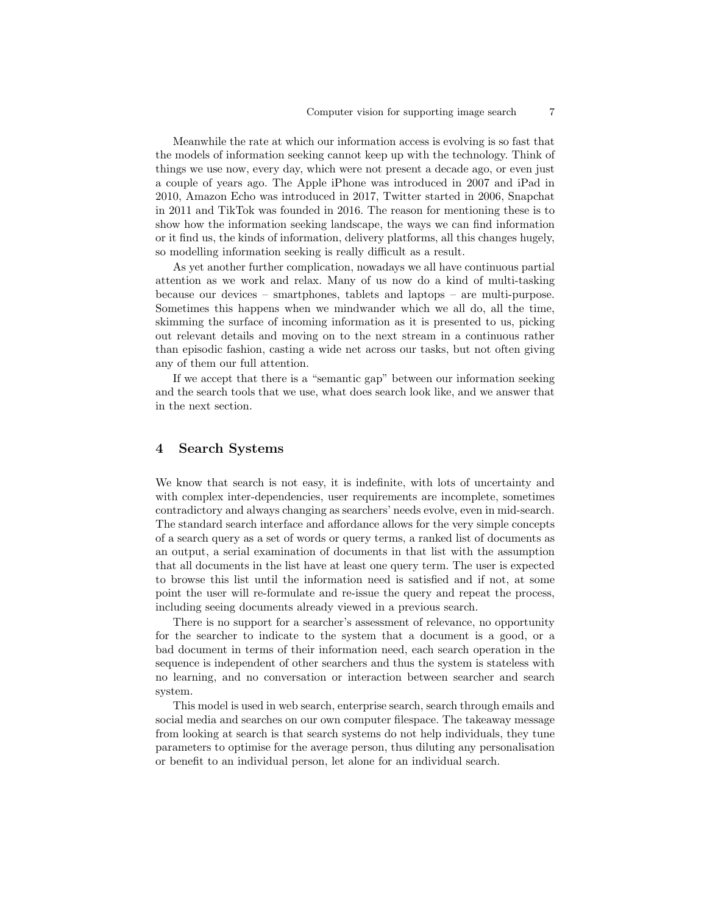Meanwhile the rate at which our information access is evolving is so fast that the models of information seeking cannot keep up with the technology. Think of things we use now, every day, which were not present a decade ago, or even just a couple of years ago. The Apple iPhone was introduced in 2007 and iPad in 2010, Amazon Echo was introduced in 2017, Twitter started in 2006, Snapchat in 2011 and TikTok was founded in 2016. The reason for mentioning these is to show how the information seeking landscape, the ways we can find information or it find us, the kinds of information, delivery platforms, all this changes hugely, so modelling information seeking is really difficult as a result.

As yet another further complication, nowadays we all have continuous partial attention as we work and relax. Many of us now do a kind of multi-tasking because our devices – smartphones, tablets and laptops – are multi-purpose. Sometimes this happens when we mindwander which we all do, all the time, skimming the surface of incoming information as it is presented to us, picking out relevant details and moving on to the next stream in a continuous rather than episodic fashion, casting a wide net across our tasks, but not often giving any of them our full attention.

If we accept that there is a "semantic gap" between our information seeking and the search tools that we use, what does search look like, and we answer that in the next section.

## 4 Search Systems

We know that search is not easy, it is indefinite, with lots of uncertainty and with complex inter-dependencies, user requirements are incomplete, sometimes contradictory and always changing as searchers' needs evolve, even in mid-search. The standard search interface and affordance allows for the very simple concepts of a search query as a set of words or query terms, a ranked list of documents as an output, a serial examination of documents in that list with the assumption that all documents in the list have at least one query term. The user is expected to browse this list until the information need is satisfied and if not, at some point the user will re-formulate and re-issue the query and repeat the process, including seeing documents already viewed in a previous search.

There is no support for a searcher's assessment of relevance, no opportunity for the searcher to indicate to the system that a document is a good, or a bad document in terms of their information need, each search operation in the sequence is independent of other searchers and thus the system is stateless with no learning, and no conversation or interaction between searcher and search system.

This model is used in web search, enterprise search, search through emails and social media and searches on our own computer filespace. The takeaway message from looking at search is that search systems do not help individuals, they tune parameters to optimise for the average person, thus diluting any personalisation or benefit to an individual person, let alone for an individual search.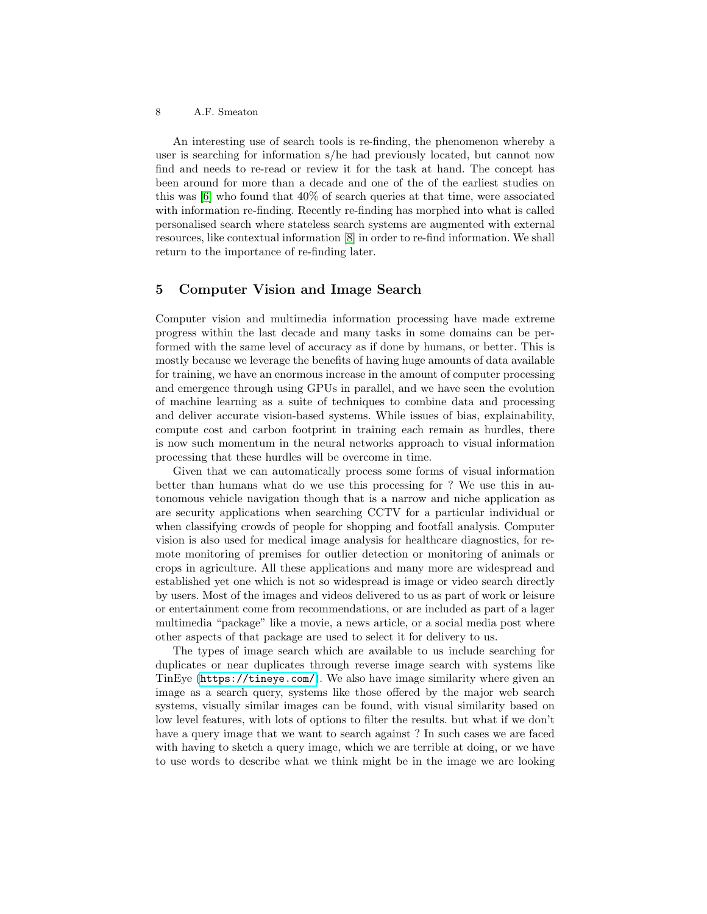An interesting use of search tools is re-finding, the phenomenon whereby a user is searching for information s/he had previously located, but cannot now find and needs to re-read or review it for the task at hand. The concept has been around for more than a decade and one of the of the earliest studies on this was [\[6\]](#page-9-0) who found that 40% of search queries at that time, were associated with information re-finding. Recently re-finding has morphed into what is called personalised search where stateless search systems are augmented with external resources, like contextual information [\[8\]](#page-9-5) in order to re-find information. We shall return to the importance of re-finding later.

# 5 Computer Vision and Image Search

Computer vision and multimedia information processing have made extreme progress within the last decade and many tasks in some domains can be performed with the same level of accuracy as if done by humans, or better. This is mostly because we leverage the benefits of having huge amounts of data available for training, we have an enormous increase in the amount of computer processing and emergence through using GPUs in parallel, and we have seen the evolution of machine learning as a suite of techniques to combine data and processing and deliver accurate vision-based systems. While issues of bias, explainability, compute cost and carbon footprint in training each remain as hurdles, there is now such momentum in the neural networks approach to visual information processing that these hurdles will be overcome in time.

Given that we can automatically process some forms of visual information better than humans what do we use this processing for ? We use this in autonomous vehicle navigation though that is a narrow and niche application as are security applications when searching CCTV for a particular individual or when classifying crowds of people for shopping and footfall analysis. Computer vision is also used for medical image analysis for healthcare diagnostics, for remote monitoring of premises for outlier detection or monitoring of animals or crops in agriculture. All these applications and many more are widespread and established yet one which is not so widespread is image or video search directly by users. Most of the images and videos delivered to us as part of work or leisure or entertainment come from recommendations, or are included as part of a lager multimedia "package" like a movie, a news article, or a social media post where other aspects of that package are used to select it for delivery to us.

The types of image search which are available to us include searching for duplicates or near duplicates through reverse image search with systems like TinEye (<https://tineye.com/>). We also have image similarity where given an image as a search query, systems like those offered by the major web search systems, visually similar images can be found, with visual similarity based on low level features, with lots of options to filter the results. but what if we don't have a query image that we want to search against ? In such cases we are faced with having to sketch a query image, which we are terrible at doing, or we have to use words to describe what we think might be in the image we are looking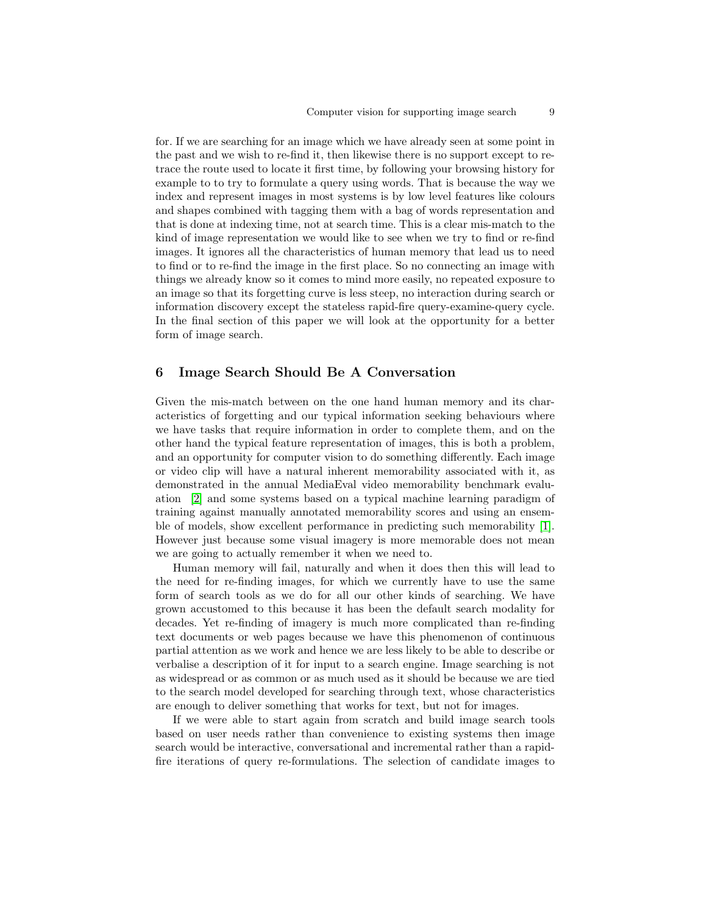for. If we are searching for an image which we have already seen at some point in the past and we wish to re-find it, then likewise there is no support except to retrace the route used to locate it first time, by following your browsing history for example to to try to formulate a query using words. That is because the way we index and represent images in most systems is by low level features like colours and shapes combined with tagging them with a bag of words representation and that is done at indexing time, not at search time. This is a clear mis-match to the kind of image representation we would like to see when we try to find or re-find images. It ignores all the characteristics of human memory that lead us to need to find or to re-find the image in the first place. So no connecting an image with things we already know so it comes to mind more easily, no repeated exposure to an image so that its forgetting curve is less steep, no interaction during search or information discovery except the stateless rapid-fire query-examine-query cycle. In the final section of this paper we will look at the opportunity for a better form of image search.

## 6 Image Search Should Be A Conversation

Given the mis-match between on the one hand human memory and its characteristics of forgetting and our typical information seeking behaviours where we have tasks that require information in order to complete them, and on the other hand the typical feature representation of images, this is both a problem, and an opportunity for computer vision to do something differently. Each image or video clip will have a natural inherent memorability associated with it, as demonstrated in the annual MediaEval video memorability benchmark evaluation [\[2\]](#page-9-6) and some systems based on a typical machine learning paradigm of training against manually annotated memorability scores and using an ensemble of models, show excellent performance in predicting such memorability [\[1\]](#page-9-7). However just because some visual imagery is more memorable does not mean we are going to actually remember it when we need to.

Human memory will fail, naturally and when it does then this will lead to the need for re-finding images, for which we currently have to use the same form of search tools as we do for all our other kinds of searching. We have grown accustomed to this because it has been the default search modality for decades. Yet re-finding of imagery is much more complicated than re-finding text documents or web pages because we have this phenomenon of continuous partial attention as we work and hence we are less likely to be able to describe or verbalise a description of it for input to a search engine. Image searching is not as widespread or as common or as much used as it should be because we are tied to the search model developed for searching through text, whose characteristics are enough to deliver something that works for text, but not for images.

If we were able to start again from scratch and build image search tools based on user needs rather than convenience to existing systems then image search would be interactive, conversational and incremental rather than a rapidfire iterations of query re-formulations. The selection of candidate images to